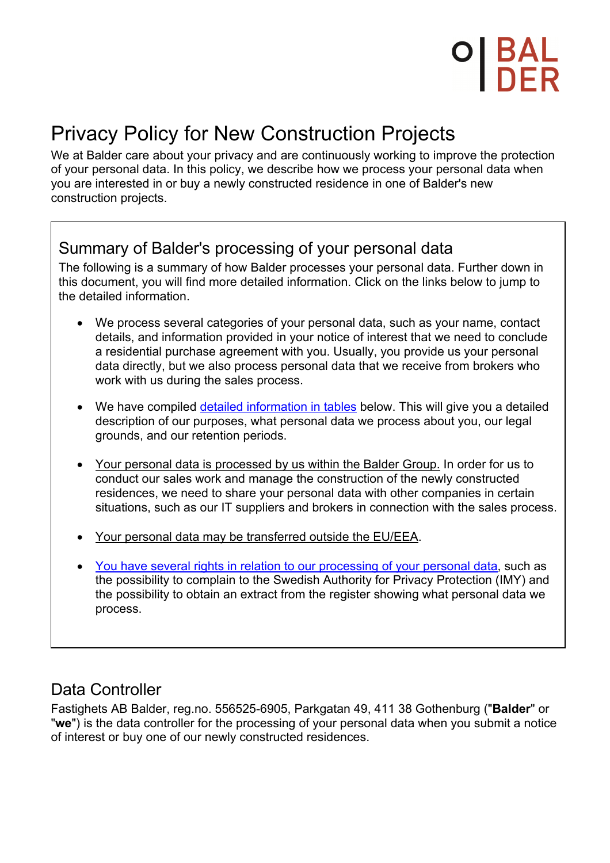# Privacy Policy for New Construction Projects

We at Balder care about your privacy and are continuously working to improve the protection of your personal data. In this policy, we describe how we process your personal data when you are interested in or buy a newly constructed residence in one of Balder's new construction projects.

## Summary of Balder's processing of your personal data

The following is a summary of how Balder processes your personal data. Further down in this document, you will find more detailed information. Click on the links below to jump to the detailed information.

- We process several categories of your personal data, such as your name, contact details, and information provided in your notice of interest that we need to conclude a residential purchase agreement with you. Usually, you provide us your personal data directly, but we also process personal data that we receive from brokers who work with us during the sales process.
- We have compiled detailed information in tables below. This will give you a detailed description of our purposes, what personal data we process about you, our legal grounds, and our retention periods.
- Your personal data is processed by us within the Balder Group. In order for us to conduct our sales work and manage the construction of the newly constructed residences, we need to share your personal data with other companies in certain situations, such as our IT suppliers and brokers in connection with the sales process.
- Your personal data may be transferred outside the EU/EEA.
- You have several rights in relation to our processing of your personal data, such as the possibility to complain to the Swedish Authority for Privacy Protection (IMY) and the possibility to obtain an extract from the register showing what personal data we process.

## Data Controller

Fastighets AB Balder, reg.no. 556525-6905, Parkgatan 49, 411 38 Gothenburg ("**Balder**" or "**we**") is the data controller for the processing of your personal data when you submit a notice of interest or buy one of our newly constructed residences.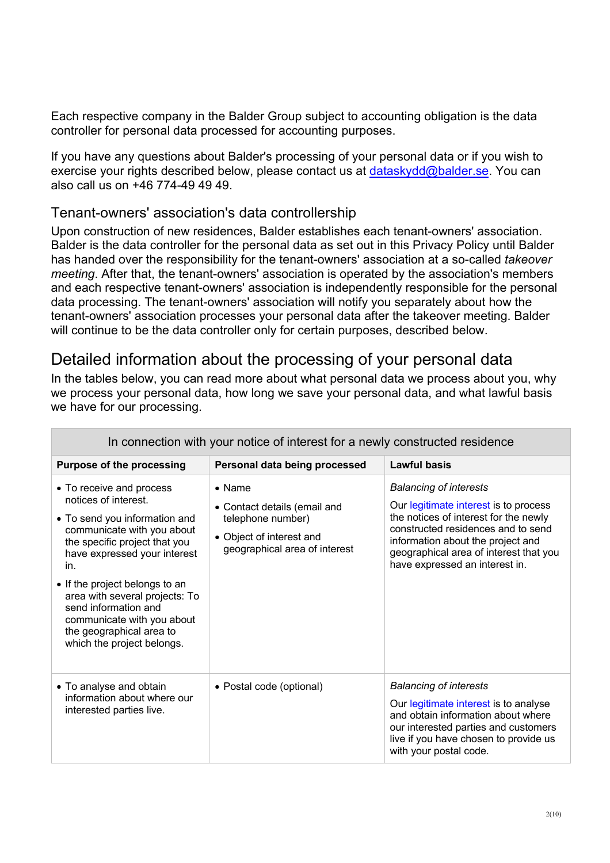Each respective company in the Balder Group subject to accounting obligation is the data controller for personal data processed for accounting purposes.

If you have any questions about Balder's processing of your personal data or if you wish to exercise your rights described below, please contact us at dataskydd@balder.se. You can also call us on +46 774-49 49 49.

#### Tenant-owners' association's data controllership

Upon construction of new residences, Balder establishes each tenant-owners' association. Balder is the data controller for the personal data as set out in this Privacy Policy until Balder has handed over the responsibility for the tenant-owners' association at a so-called *takeover meeting*. After that, the tenant-owners' association is operated by the association's members and each respective tenant-owners' association is independently responsible for the personal data processing. The tenant-owners' association will notify you separately about how the tenant-owners' association processes your personal data after the takeover meeting. Balder will continue to be the data controller only for certain purposes, described below.

## Detailed information about the processing of your personal data

In the tables below, you can read more about what personal data we process about you, why we process your personal data, how long we save your personal data, and what lawful basis we have for our processing.

| In connection with your notice of interest for a newly constructed residence                                                                                                                                                                                                                                                                                                |                                                                                                                                  |                                                                                                                                                                                                                                                                        |
|-----------------------------------------------------------------------------------------------------------------------------------------------------------------------------------------------------------------------------------------------------------------------------------------------------------------------------------------------------------------------------|----------------------------------------------------------------------------------------------------------------------------------|------------------------------------------------------------------------------------------------------------------------------------------------------------------------------------------------------------------------------------------------------------------------|
| <b>Purpose of the processing</b>                                                                                                                                                                                                                                                                                                                                            | Personal data being processed                                                                                                    | <b>Lawful basis</b>                                                                                                                                                                                                                                                    |
| • To receive and process<br>notices of interest.<br>• To send you information and<br>communicate with you about<br>the specific project that you<br>have expressed your interest<br>in.<br>• If the project belongs to an<br>area with several projects: To<br>send information and<br>communicate with you about<br>the geographical area to<br>which the project belongs. | $\bullet$ Name<br>• Contact details (email and<br>telephone number)<br>• Object of interest and<br>geographical area of interest | <b>Balancing of interests</b><br>Our legitimate interest is to process<br>the notices of interest for the newly<br>constructed residences and to send<br>information about the project and<br>geographical area of interest that you<br>have expressed an interest in. |
| • To analyse and obtain<br>information about where our<br>interested parties live.                                                                                                                                                                                                                                                                                          | • Postal code (optional)                                                                                                         | <b>Balancing of interests</b><br>Our legitimate interest is to analyse<br>and obtain information about where<br>our interested parties and customers<br>live if you have chosen to provide us<br>with your postal code.                                                |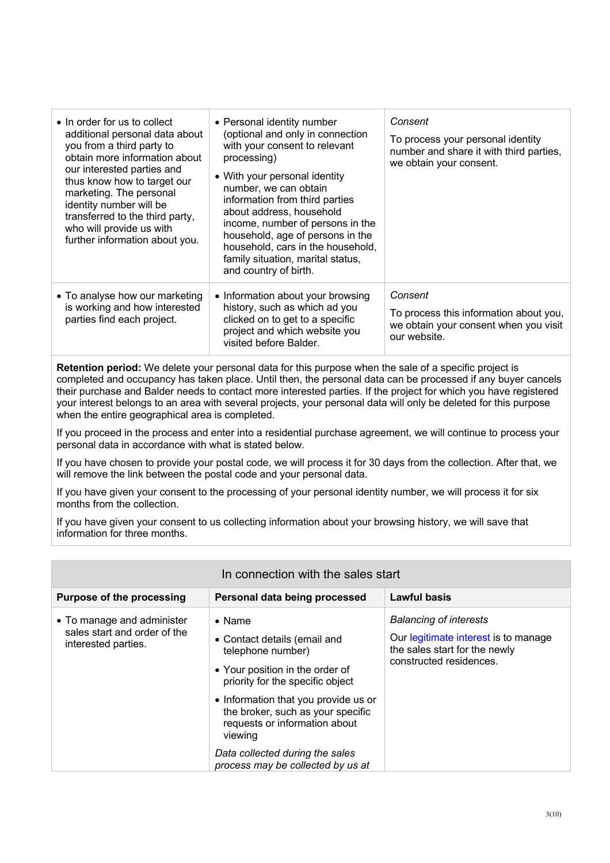| $\bullet$ In order for us to collect<br>additional personal data about<br>you from a third party to<br>obtain more information about<br>our interested parties and<br>thus know how to target our<br>marketing. The personal<br>identity number will be<br>transferred to the third party,<br>who will provide us with<br>further information about you. | • Personal identity number<br>(optional and only in connection<br>with your consent to relevant<br>processing)<br>• With your personal identity<br>number, we can obtain<br>information from third parties<br>about address, household<br>income, number of persons in the<br>household, age of persons in the<br>household, cars in the household,<br>family situation, marital status,<br>and country of birth. | Consent<br>To process your personal identity<br>number and share it with third parties,<br>we obtain your consent. |
|----------------------------------------------------------------------------------------------------------------------------------------------------------------------------------------------------------------------------------------------------------------------------------------------------------------------------------------------------------|-------------------------------------------------------------------------------------------------------------------------------------------------------------------------------------------------------------------------------------------------------------------------------------------------------------------------------------------------------------------------------------------------------------------|--------------------------------------------------------------------------------------------------------------------|
| • To analyse how our marketing<br>is working and how interested<br>parties find each project.                                                                                                                                                                                                                                                            | • Information about your browsing<br>history, such as which ad you<br>clicked on to get to a specific<br>project and which website you<br>visited before Balder.                                                                                                                                                                                                                                                  | Consent<br>To process this information about you,<br>we obtain your consent when you visit<br>our website.         |

**Retention period:** We delete your personal data for this purpose when the sale of a specific project is completed and occupancy has taken place. Until then, the personal data can be processed if any buyer cancels their purchase and Balder needs to contact more interested parties. If the project for which you have registered your interest belongs to an area with several projects, your personal data will only be deleted for this purpose when the entire geographical area is completed.

If you proceed in the process and enter into a residential purchase agreement, we will continue to process your personal data in accordance with what is stated below.

If you have chosen to provide your postal code, we will process it for 30 days from the collection. After that, we will remove the link between the postal code and your personal data.

If you have given your consent to the processing of your personal identity number, we will process it for six months from the collection.

If you have given your consent to us collecting information about your browsing history, we will save that information for three months.

| In connection with the sales start                                                |                                                                                                                                            |                                                                                                                                   |  |
|-----------------------------------------------------------------------------------|--------------------------------------------------------------------------------------------------------------------------------------------|-----------------------------------------------------------------------------------------------------------------------------------|--|
| <b>Purpose of the processing</b>                                                  | Personal data being processed                                                                                                              | <b>Lawful basis</b>                                                                                                               |  |
| • To manage and administer<br>sales start and order of the<br>interested parties. | $\bullet$ Name<br>• Contact details (email and<br>telephone number)<br>• Your position in the order of<br>priority for the specific object | <b>Balancing of interests</b><br>Our legitimate interest is to manage<br>the sales start for the newly<br>constructed residences. |  |
|                                                                                   | • Information that you provide us or<br>the broker, such as your specific<br>requests or information about<br>viewing                      |                                                                                                                                   |  |
|                                                                                   | Data collected during the sales<br>process may be collected by us at                                                                       |                                                                                                                                   |  |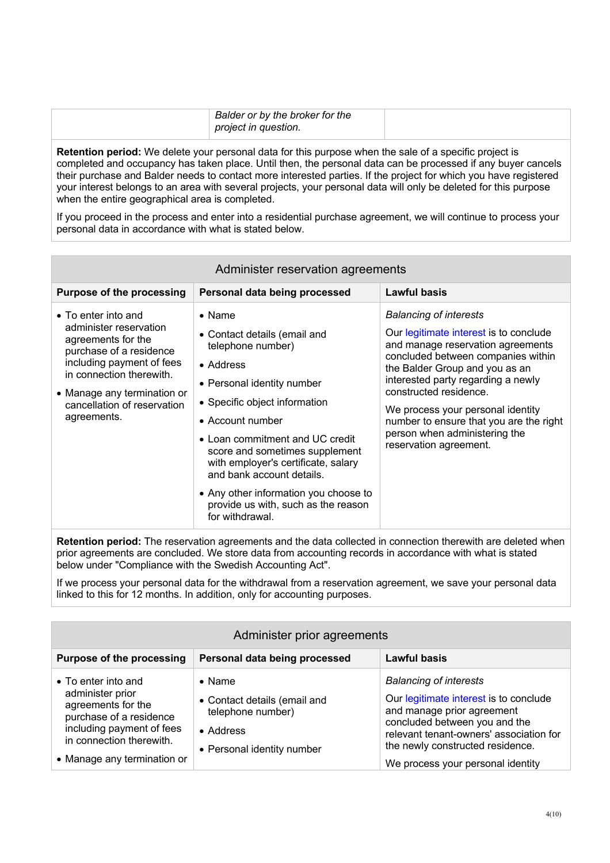| Balder or by the broker for the<br>project in question. |  |
|---------------------------------------------------------|--|
|                                                         |  |

**Retention period:** We delete your personal data for this purpose when the sale of a specific project is completed and occupancy has taken place. Until then, the personal data can be processed if any buyer cancels their purchase and Balder needs to contact more interested parties. If the project for which you have registered your interest belongs to an area with several projects, your personal data will only be deleted for this purpose when the entire geographical area is completed.

If you proceed in the process and enter into a residential purchase agreement, we will continue to process your personal data in accordance with what is stated below.

| Administer reservation agreements                                                                                                                                                                                                    |                                                                                                                                                                                                                                                                                                                                                                                                                 |                                                                                                                                                                                                                                                                                                                                                                                                 |  |
|--------------------------------------------------------------------------------------------------------------------------------------------------------------------------------------------------------------------------------------|-----------------------------------------------------------------------------------------------------------------------------------------------------------------------------------------------------------------------------------------------------------------------------------------------------------------------------------------------------------------------------------------------------------------|-------------------------------------------------------------------------------------------------------------------------------------------------------------------------------------------------------------------------------------------------------------------------------------------------------------------------------------------------------------------------------------------------|--|
| <b>Purpose of the processing</b>                                                                                                                                                                                                     | Personal data being processed                                                                                                                                                                                                                                                                                                                                                                                   | Lawful basis                                                                                                                                                                                                                                                                                                                                                                                    |  |
| • To enter into and<br>administer reservation<br>agreements for the<br>purchase of a residence<br>including payment of fees<br>in connection therewith.<br>• Manage any termination or<br>cancellation of reservation<br>agreements. | $\bullet$ Name<br>• Contact details (email and<br>telephone number)<br>• Address<br>• Personal identity number<br>• Specific object information<br>• Account number<br>• Loan commitment and UC credit<br>score and sometimes supplement<br>with employer's certificate, salary<br>and bank account details.<br>• Any other information you choose to<br>provide us with, such as the reason<br>for withdrawal. | <b>Balancing of interests</b><br>Our legitimate interest is to conclude<br>and manage reservation agreements<br>concluded between companies within<br>the Balder Group and you as an<br>interested party regarding a newly<br>constructed residence.<br>We process your personal identity<br>number to ensure that you are the right<br>person when administering the<br>reservation agreement. |  |

**Retention period:** The reservation agreements and the data collected in connection therewith are deleted when prior agreements are concluded. We store data from accounting records in accordance with what is stated below under "Compliance with the Swedish Accounting Act".

If we process your personal data for the withdrawal from a reservation agreement, we save your personal data linked to this for 12 months. In addition, only for accounting purposes.

| Administer prior agreements                                                                                                                                                      |                                                                                                                |                                                                                                                                                                                                                                                            |
|----------------------------------------------------------------------------------------------------------------------------------------------------------------------------------|----------------------------------------------------------------------------------------------------------------|------------------------------------------------------------------------------------------------------------------------------------------------------------------------------------------------------------------------------------------------------------|
| <b>Purpose of the processing</b>                                                                                                                                                 | Personal data being processed                                                                                  | Lawful basis                                                                                                                                                                                                                                               |
| • To enter into and<br>administer prior<br>agreements for the<br>purchase of a residence<br>including payment of fees<br>in connection therewith.<br>• Manage any termination or | $\bullet$ Name<br>• Contact details (email and<br>telephone number)<br>• Address<br>• Personal identity number | <b>Balancing of interests</b><br>Our legitimate interest is to conclude<br>and manage prior agreement<br>concluded between you and the<br>relevant tenant-owners' association for<br>the newly constructed residence.<br>We process your personal identity |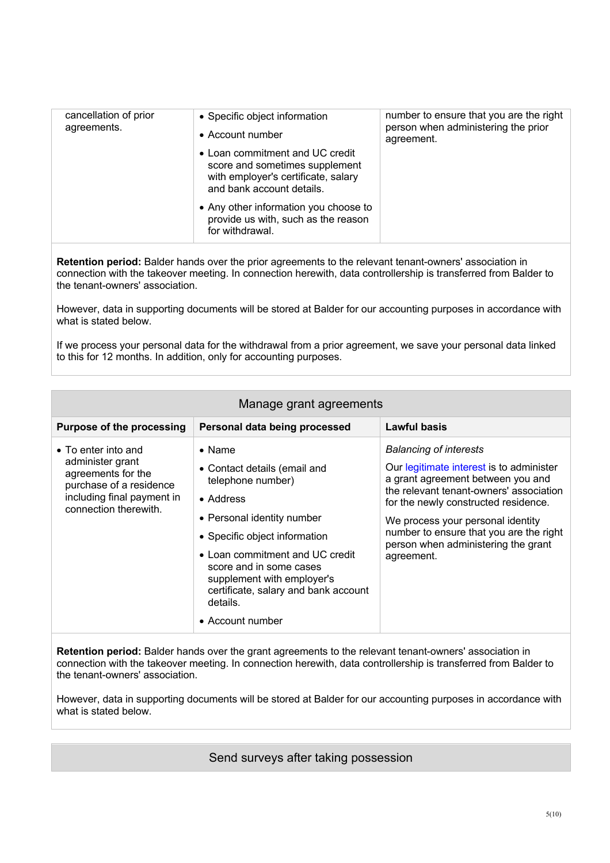| cancellation of prior<br>agreements. | • Specific object information<br>• Account number                                                                                     | number to ensure that you are the right<br>person when administering the prior<br>agreement. |
|--------------------------------------|---------------------------------------------------------------------------------------------------------------------------------------|----------------------------------------------------------------------------------------------|
|                                      | • Loan commitment and UC credit<br>score and sometimes supplement<br>with employer's certificate, salary<br>and bank account details. |                                                                                              |
|                                      | • Any other information you choose to<br>provide us with, such as the reason<br>for withdrawal.                                       |                                                                                              |

**Retention period:** Balder hands over the prior agreements to the relevant tenant-owners' association in connection with the takeover meeting. In connection herewith, data controllership is transferred from Balder to the tenant-owners' association.

However, data in supporting documents will be stored at Balder for our accounting purposes in accordance with what is stated below.

If we process your personal data for the withdrawal from a prior agreement, we save your personal data linked to this for 12 months. In addition, only for accounting purposes.

| Manage grant agreements                                                                                                                         |                                                                                                                                                                                                                                                                                                                     |                                                                                                                                                                                                                                                                                                                                        |  |
|-------------------------------------------------------------------------------------------------------------------------------------------------|---------------------------------------------------------------------------------------------------------------------------------------------------------------------------------------------------------------------------------------------------------------------------------------------------------------------|----------------------------------------------------------------------------------------------------------------------------------------------------------------------------------------------------------------------------------------------------------------------------------------------------------------------------------------|--|
| <b>Purpose of the processing</b>                                                                                                                | Personal data being processed                                                                                                                                                                                                                                                                                       | <b>Lawful basis</b>                                                                                                                                                                                                                                                                                                                    |  |
| • To enter into and<br>administer grant<br>agreements for the<br>purchase of a residence<br>including final payment in<br>connection therewith. | $\bullet$ Name<br>• Contact details (email and<br>telephone number)<br>• Address<br>• Personal identity number<br>• Specific object information<br>• Loan commitment and UC credit<br>score and in some cases<br>supplement with employer's<br>certificate, salary and bank account<br>details.<br>• Account number | <b>Balancing of interests</b><br>Our legitimate interest is to administer<br>a grant agreement between you and<br>the relevant tenant-owners' association<br>for the newly constructed residence.<br>We process your personal identity<br>number to ensure that you are the right<br>person when administering the grant<br>agreement. |  |

**Retention period:** Balder hands over the grant agreements to the relevant tenant-owners' association in connection with the takeover meeting. In connection herewith, data controllership is transferred from Balder to the tenant-owners' association.

However, data in supporting documents will be stored at Balder for our accounting purposes in accordance with what is stated below.

Send surveys after taking possession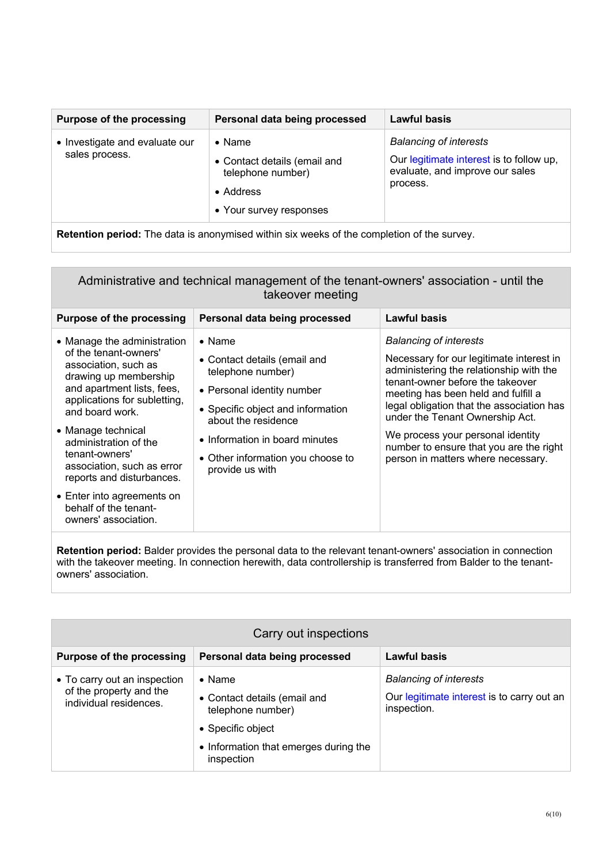| <b>Balancing of interests</b><br>• Investigate and evaluate our<br>$\bullet$ Name<br>sales process.<br>Our legitimate interest is to follow up,<br>• Contact details (email and<br>evaluate, and improve our sales<br>telephone number)<br>process.<br>• Address<br>• Your survey responses | <b>Purpose of the processing</b> | Personal data being processed | Lawful basis |
|---------------------------------------------------------------------------------------------------------------------------------------------------------------------------------------------------------------------------------------------------------------------------------------------|----------------------------------|-------------------------------|--------------|
|                                                                                                                                                                                                                                                                                             |                                  |                               |              |

**Retention period:** The data is anonymised within six weeks of the completion of the survey.

Administrative and technical management of the tenant-owners' association - until the takeover meeting

| <b>Purpose of the processing</b>                                                                                                                                                                                                                                                                                   | Personal data being processed                                                                                                                                                                                                                           | <b>Lawful basis</b>                                                                                                                                                                                                                                                                                                                                                                                   |
|--------------------------------------------------------------------------------------------------------------------------------------------------------------------------------------------------------------------------------------------------------------------------------------------------------------------|---------------------------------------------------------------------------------------------------------------------------------------------------------------------------------------------------------------------------------------------------------|-------------------------------------------------------------------------------------------------------------------------------------------------------------------------------------------------------------------------------------------------------------------------------------------------------------------------------------------------------------------------------------------------------|
| • Manage the administration<br>of the tenant-owners'<br>association, such as<br>drawing up membership<br>and apartment lists, fees,<br>applications for subletting,<br>and board work.<br>• Manage technical<br>administration of the<br>tenant-owners'<br>association, such as error<br>reports and disturbances. | $\bullet$ Name<br>• Contact details (email and<br>telephone number)<br>• Personal identity number<br>• Specific object and information<br>about the residence<br>• Information in board minutes<br>• Other information you choose to<br>provide us with | <b>Balancing of interests</b><br>Necessary for our legitimate interest in<br>administering the relationship with the<br>tenant-owner before the takeover<br>meeting has been held and fulfill a<br>legal obligation that the association has<br>under the Tenant Ownership Act.<br>We process your personal identity<br>number to ensure that you are the right<br>person in matters where necessary. |
| • Enter into agreements on<br>behalf of the tenant-<br>owners' association.                                                                                                                                                                                                                                        |                                                                                                                                                                                                                                                         |                                                                                                                                                                                                                                                                                                                                                                                                       |

**Retention period:** Balder provides the personal data to the relevant tenant-owners' association in connection with the takeover meeting. In connection herewith, data controllership is transferred from Balder to the tenantowners' association.

| Carry out inspections                                                             |                                                                                                                                                 |                                                                                            |
|-----------------------------------------------------------------------------------|-------------------------------------------------------------------------------------------------------------------------------------------------|--------------------------------------------------------------------------------------------|
| <b>Purpose of the processing</b>                                                  | Personal data being processed                                                                                                                   | <b>Lawful basis</b>                                                                        |
| • To carry out an inspection<br>of the property and the<br>individual residences. | $\bullet$ Name<br>• Contact details (email and<br>telephone number)<br>• Specific object<br>• Information that emerges during the<br>inspection | <b>Balancing of interests</b><br>Our legitimate interest is to carry out an<br>inspection. |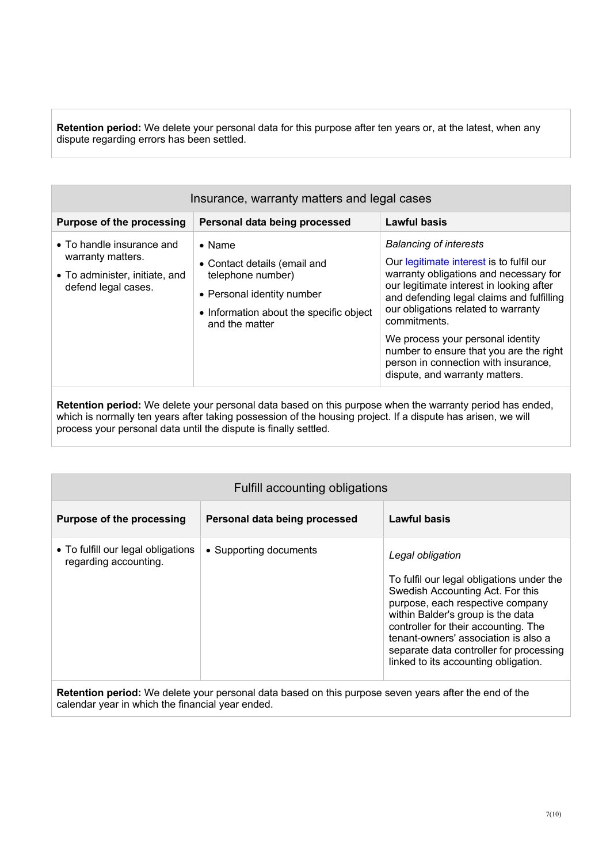**Retention period:** We delete your personal data for this purpose after ten years or, at the latest, when any dispute regarding errors has been settled.

| Insurance, warranty matters and legal cases                                                             |                                                                                                                                                                |                                                                                                                                                                                                                                                                                                                                                                                                                               |
|---------------------------------------------------------------------------------------------------------|----------------------------------------------------------------------------------------------------------------------------------------------------------------|-------------------------------------------------------------------------------------------------------------------------------------------------------------------------------------------------------------------------------------------------------------------------------------------------------------------------------------------------------------------------------------------------------------------------------|
| <b>Purpose of the processing</b>                                                                        | Personal data being processed                                                                                                                                  | <b>Lawful basis</b>                                                                                                                                                                                                                                                                                                                                                                                                           |
| • To handle insurance and<br>warranty matters.<br>• To administer, initiate, and<br>defend legal cases. | $\bullet$ Name<br>• Contact details (email and<br>telephone number)<br>• Personal identity number<br>• Information about the specific object<br>and the matter | <b>Balancing of interests</b><br>Our legitimate interest is to fulfil our<br>warranty obligations and necessary for<br>our legitimate interest in looking after<br>and defending legal claims and fulfilling<br>our obligations related to warranty<br>commitments.<br>We process your personal identity<br>number to ensure that you are the right<br>person in connection with insurance,<br>dispute, and warranty matters. |

**Retention period:** We delete your personal data based on this purpose when the warranty period has ended, which is normally ten years after taking possession of the housing project. If a dispute has arisen, we will process your personal data until the dispute is finally settled.

| Fulfill accounting obligations                              |                               |                                                                                                                                                                                                                                                                                                                                               |
|-------------------------------------------------------------|-------------------------------|-----------------------------------------------------------------------------------------------------------------------------------------------------------------------------------------------------------------------------------------------------------------------------------------------------------------------------------------------|
| <b>Purpose of the processing</b>                            | Personal data being processed | Lawful basis                                                                                                                                                                                                                                                                                                                                  |
| • To fulfill our legal obligations<br>regarding accounting. | • Supporting documents        | Legal obligation<br>To fulfil our legal obligations under the<br>Swedish Accounting Act. For this<br>purpose, each respective company<br>within Balder's group is the data<br>controller for their accounting. The<br>tenant-owners' association is also a<br>separate data controller for processing<br>linked to its accounting obligation. |

**Retention period:** We delete your personal data based on this purpose seven years after the end of the calendar year in which the financial year ended.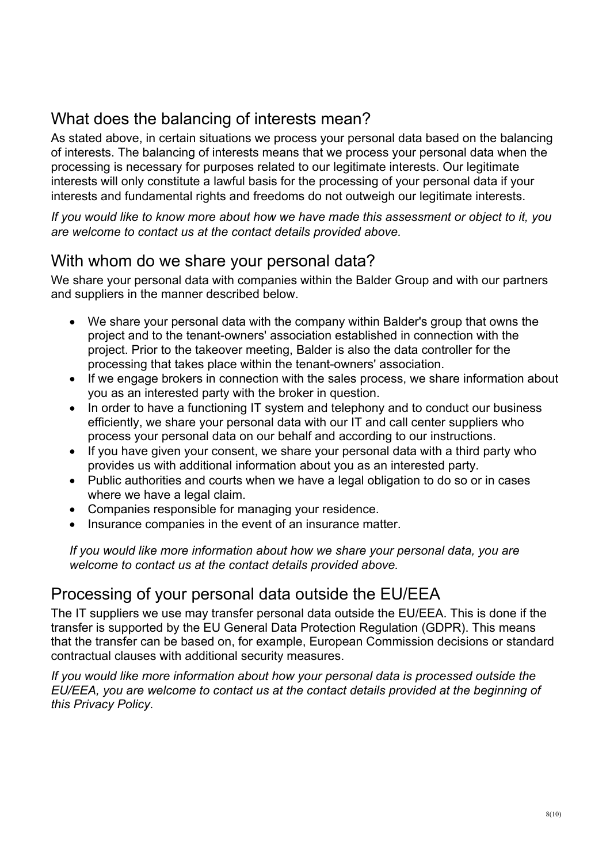## What does the balancing of interests mean?

As stated above, in certain situations we process your personal data based on the balancing of interests. The balancing of interests means that we process your personal data when the processing is necessary for purposes related to our legitimate interests. Our legitimate interests will only constitute a lawful basis for the processing of your personal data if your interests and fundamental rights and freedoms do not outweigh our legitimate interests.

*If you would like to know more about how we have made this assessment or object to it, you are welcome to contact us at the contact details provided above.*

## With whom do we share your personal data?

We share your personal data with companies within the Balder Group and with our partners and suppliers in the manner described below.

- We share your personal data with the company within Balder's group that owns the project and to the tenant-owners' association established in connection with the project. Prior to the takeover meeting, Balder is also the data controller for the processing that takes place within the tenant-owners' association.
- If we engage brokers in connection with the sales process, we share information about you as an interested party with the broker in question.
- In order to have a functioning IT system and telephony and to conduct our business efficiently, we share your personal data with our IT and call center suppliers who process your personal data on our behalf and according to our instructions.
- If you have given your consent, we share your personal data with a third party who provides us with additional information about you as an interested party.
- Public authorities and courts when we have a legal obligation to do so or in cases where we have a legal claim.
- Companies responsible for managing your residence.
- Insurance companies in the event of an insurance matter.

*If you would like more information about how we share your personal data, you are welcome to contact us at the contact details provided above.*

## Processing of your personal data outside the EU/EEA

The IT suppliers we use may transfer personal data outside the EU/EEA. This is done if the transfer is supported by the EU General Data Protection Regulation (GDPR). This means that the transfer can be based on, for example, European Commission decisions or standard contractual clauses with additional security measures.

*If you would like more information about how your personal data is processed outside the EU/EEA, you are welcome to contact us at the contact details provided at the beginning of this Privacy Policy.*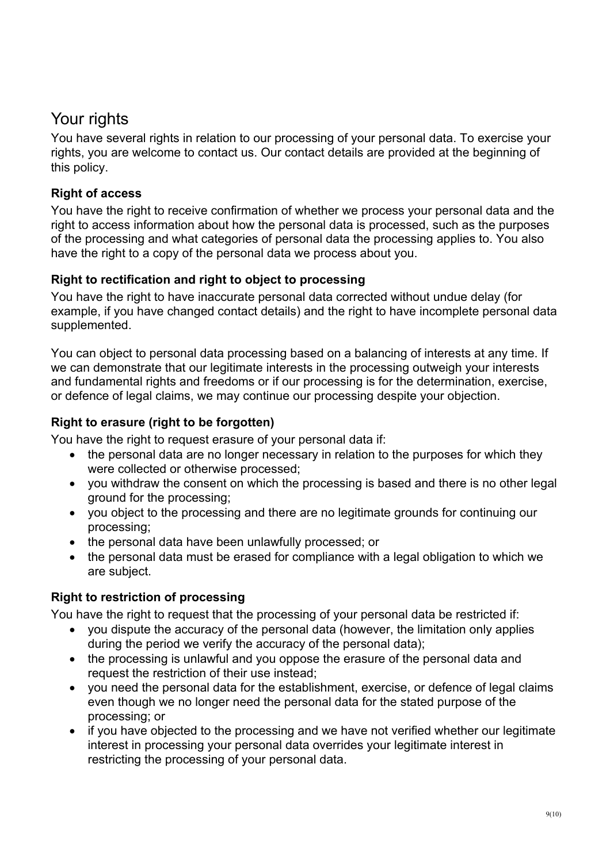## Your rights

You have several rights in relation to our processing of your personal data. To exercise your rights, you are welcome to contact us. Our contact details are provided at the beginning of this policy.

## **Right of access**

You have the right to receive confirmation of whether we process your personal data and the right to access information about how the personal data is processed, such as the purposes of the processing and what categories of personal data the processing applies to. You also have the right to a copy of the personal data we process about you.

#### **Right to rectification and right to object to processing**

You have the right to have inaccurate personal data corrected without undue delay (for example, if you have changed contact details) and the right to have incomplete personal data supplemented.

You can object to personal data processing based on a balancing of interests at any time. If we can demonstrate that our legitimate interests in the processing outweigh your interests and fundamental rights and freedoms or if our processing is for the determination, exercise, or defence of legal claims, we may continue our processing despite your objection.

## **Right to erasure (right to be forgotten)**

You have the right to request erasure of your personal data if:

- the personal data are no longer necessary in relation to the purposes for which they were collected or otherwise processed;
- you withdraw the consent on which the processing is based and there is no other legal ground for the processing;
- you object to the processing and there are no legitimate grounds for continuing our processing;
- the personal data have been unlawfully processed; or
- the personal data must be erased for compliance with a legal obligation to which we are subject.

#### **Right to restriction of processing**

You have the right to request that the processing of your personal data be restricted if:

- you dispute the accuracy of the personal data (however, the limitation only applies during the period we verify the accuracy of the personal data);
- the processing is unlawful and you oppose the erasure of the personal data and request the restriction of their use instead;
- you need the personal data for the establishment, exercise, or defence of legal claims even though we no longer need the personal data for the stated purpose of the processing; or
- if you have objected to the processing and we have not verified whether our legitimate interest in processing your personal data overrides your legitimate interest in restricting the processing of your personal data.